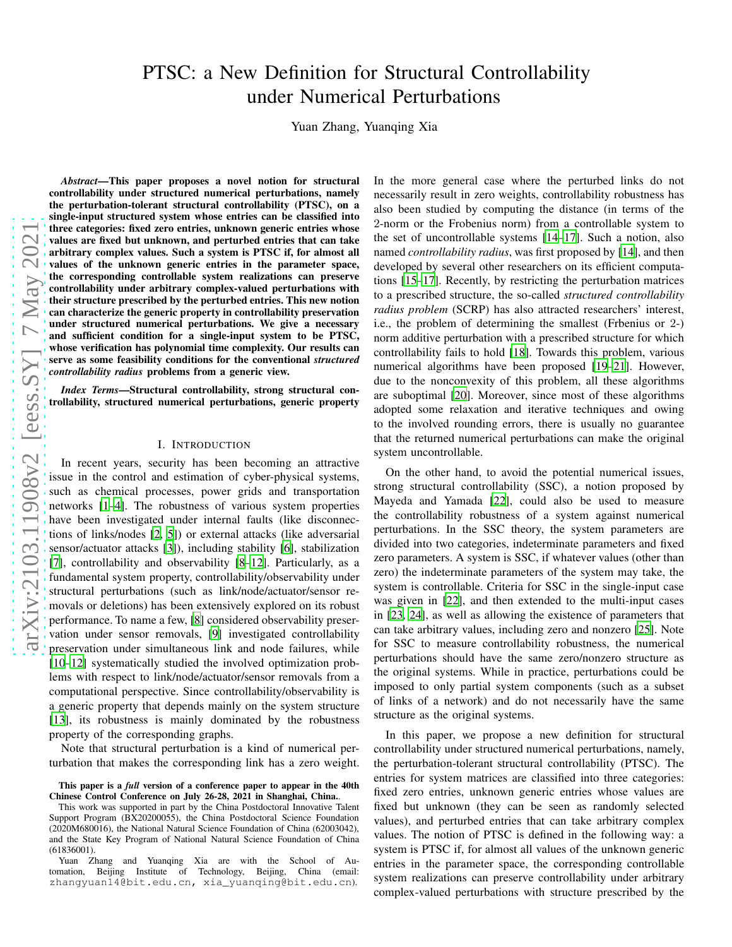# PTSC: a New Definition for Structural Controllability under Numerical Perturbations

Yuan Zhang, Yuanqing Xia

*Abstract*—This paper proposes a novel notion for structural controllability under structured numerical perturbations, namely the perturbation-tolerant structural controllability (PTSC), on a single-input structured system whose entries can be classified into three categories: fixed zero entries, unknown generic entries whose values are fixed but unknown, and perturbed entries that can take arbitrary complex values. Such a system is PTSC if, for almost all values of the unknown generic entries in the parameter space, the corresponding controllable system realizations can preserve controllability under arbitrary complex-valued perturbations with their structure prescribed by the perturbed entries. This new notion can characterize the generic property in controllability preservation under structured numerical perturbations. We give a necessary and sufficient condition for a single-input system to be PTSC, whose verification has polynomial time complexity. Our results can serve as some feasibility conditions for the conventional *structured controllability radius* problems from a generic view.

*Index Terms*—Structural controllability, strong structural controllability, structured numerical perturbations, generic property

#### I. INTRODUCTION

In recent years, security has been becoming an attractive issue in the control and estimation of cyber-physical systems, such as chemical processes, power grids and transportation networks [\[1](#page-7-0)[–4](#page-7-1)]. The robustness of various system properties have been investigated under internal faults (like disconnections of links/nodes [\[2,](#page-7-2) [5](#page-7-3)]) or external attacks (like adversarial sensor/actuator attacks [\[3\]](#page-7-4)), including stability [\[6\]](#page-7-5), stabilization [\[7\]](#page-8-0), controllability and observability [\[8](#page-8-1)[–12\]](#page-8-2). Particularly, as a fundamental system property, controllability/observability under structural perturbations (such as link/node/actuator/sensor removals or deletions) has been extensively explored on its robust performance. To name a few, [\[8\]](#page-8-1) considered observability preservation under sensor removals, [\[9\]](#page-8-3) investigated controllability preservation under simultaneous link and node failures, while [\[10](#page-8-4)[–12](#page-8-2)] systematically studied the involved optimization problems with respect to link/node/actuator/sensor removals from a computational perspective. Since controllability/observability is a generic property that depends mainly on the system structure [\[13\]](#page-8-5), its robustness is mainly dominated by the robustness property of the corresponding graphs.

Note that structural perturbation is a kind of numerical perturbation that makes the corresponding link has a zero weight.

This work was supported in part by the China Postdoctoral Innovative Talent Support Program (BX20200055), the China Postdoctoral Science Foundation (2020M680016), the National Natural Science Foundation of China (62003042), and the State Key Program of National Natural Science Foundation of China (61836001).

Yuan Zhang and Yuanqing Xia are with the School of Automation, Beijing Institute of Technology, Beijing, China (email: zhangyuan14@bit.edu.cn, xia\_yuanqing@bit.edu.cn).

In the more general case where the perturbed links do not necessarily result in zero weights, controllability robustness has also been studied by computing the distance (in terms of the 2-norm or the Frobenius norm) from a controllable system to the set of uncontrollable systems [\[14](#page-8-6)[–17\]](#page-8-7). Such a notion, also named *controllability radius*, was first proposed by [\[14\]](#page-8-6), and then developed by several other researchers on its efficient computations [\[15](#page-8-8)[–17\]](#page-8-7). Recently, by restricting the perturbation matrices to a prescribed structure, the so-called *structured controllability radius problem* (SCRP) has also attracted researchers' interest, i.e., the problem of determining the smallest (Frbenius or 2-) norm additive perturbation with a prescribed structure for which controllability fails to hold [\[18](#page-8-9)]. Towards this problem, various numerical algorithms have been proposed [\[19](#page-8-10)[–21](#page-8-11)]. However, due to the nonconvexity of this problem, all these algorithms are suboptimal [\[20](#page-8-12)]. Moreover, since most of these algorithms adopted some relaxation and iterative techniques and owing to the involved rounding errors, there is usually no guarantee that the returned numerical perturbations can make the original system uncontrollable.

On the other hand, to avoid the potential numerical issues, strong structural controllability (SSC), a notion proposed by Mayeda and Yamada [\[22](#page-8-13)], could also be used to measure the controllability robustness of a system against numerical perturbations. In the SSC theory, the system parameters are divided into two categories, indeterminate parameters and fixed zero parameters. A system is SSC, if whatever values (other than zero) the indeterminate parameters of the system may take, the system is controllable. Criteria for SSC in the single-input case was given in [\[22\]](#page-8-13), and then extended to the multi-input cases in [\[23,](#page-8-14) [24\]](#page-8-15), as well as allowing the existence of parameters that can take arbitrary values, including zero and nonzero [\[25](#page-8-16)]. Note for SSC to measure controllability robustness, the numerical perturbations should have the same zero/nonzero structure as the original systems. While in practice, perturbations could be imposed to only partial system components (such as a subset of links of a network) and do not necessarily have the same structure as the original systems.

In this paper, we propose a new definition for structural controllability under structured numerical perturbations, namely, the perturbation-tolerant structural controllability (PTSC). The entries for system matrices are classified into three categories: fixed zero entries, unknown generic entries whose values are fixed but unknown (they can be seen as randomly selected values), and perturbed entries that can take arbitrary complex values. The notion of PTSC is defined in the following way: a system is PTSC if, for almost all values of the unknown generic entries in the parameter space, the corresponding controllable system realizations can preserve controllability under arbitrary complex-valued perturbations with structure prescribed by the

This paper is a *full* version of a conference paper to appear in the 40th Chinese Control Conference on July 26-28, 2021 in Shanghai, China..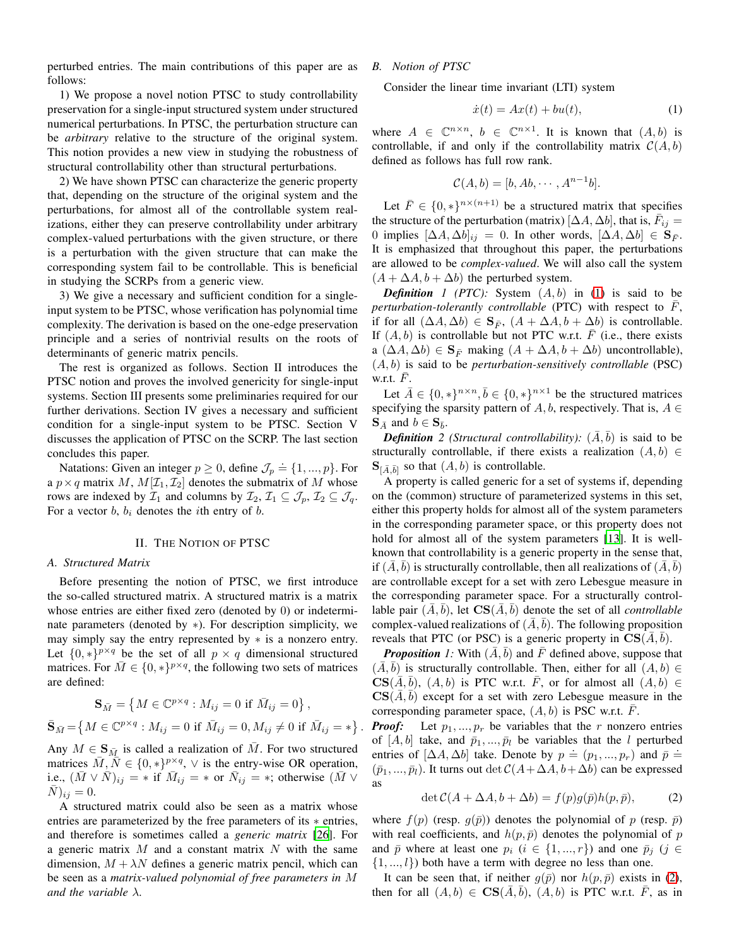perturbed entries. The main contributions of this paper are as follows:

1) We propose a novel notion PTSC to study controllability preservation for a single-input structured system under structured numerical perturbations. In PTSC, the perturbation structure can be *arbitrary* relative to the structure of the original system. This notion provides a new view in studying the robustness of structural controllability other than structural perturbations.

2) We have shown PTSC can characterize the generic property that, depending on the structure of the original system and the perturbations, for almost all of the controllable system realizations, either they can preserve controllability under arbitrary complex-valued perturbations with the given structure, or there is a perturbation with the given structure that can make the corresponding system fail to be controllable. This is beneficial in studying the SCRPs from a generic view.

3) We give a necessary and sufficient condition for a singleinput system to be PTSC, whose verification has polynomial time complexity. The derivation is based on the one-edge preservation principle and a series of nontrivial results on the roots of determinants of generic matrix pencils.

The rest is organized as follows. Section II introduces the PTSC notion and proves the involved genericity for single-input systems. Section III presents some preliminaries required for our further derivations. Section IV gives a necessary and sufficient condition for a single-input system to be PTSC. Section V discusses the application of PTSC on the SCRP. The last section concludes this paper.

Natations: Given an integer  $p \ge 0$ , define  $\mathcal{J}_p \doteq \{1, ..., p\}$ . For a  $p \times q$  matrix M,  $M[\mathcal{I}_1, \mathcal{I}_2]$  denotes the submatrix of M whose rows are indexed by  $\mathcal{I}_1$  and columns by  $\mathcal{I}_2$ ,  $\mathcal{I}_1 \subseteq \mathcal{J}_p$ ,  $\mathcal{I}_2 \subseteq \mathcal{J}_q$ . For a vector  $b, b_i$  denotes the *i*th entry of  $b$ .

#### II. THE NOTION OF PTSC

## *A. Structured Matrix*

Before presenting the notion of PTSC, we first introduce the so-called structured matrix. A structured matrix is a matrix whose entries are either fixed zero (denoted by 0) or indeterminate parameters (denoted by ∗). For description simplicity, we may simply say the entry represented by ∗ is a nonzero entry. Let  $\{0, *\}^{p \times q}$  be the set of all  $p \times q$  dimensional structured matrices. For  $\overline{M} \in \{0, *\}^{p \times q}$ , the following two sets of matrices are defined:

$$
\mathbf{S}_{\bar{M}} = \left\{ M \in \mathbb{C}^{p \times q} : M_{ij} = 0 \text{ if } \bar{M}_{ij} = 0 \right\},\
$$
  

$$
\bar{\mathbf{S}}_{\bar{M}} = \left\{ M \in \mathbb{C}^{p \times q} : M_{ij} = 0 \text{ if } \bar{M}_{ij} = 0, M_{ij} \neq 0 \text{ if } \bar{M}_{ij} = \ast \right\}
$$

.

Any  $M \in \mathbf{S}_{\bar{M}}$  is called a realization of  $\bar{M}$ . For two structured matrices  $\overline{M}, \overline{N} \in \{0, *\}^{p \times q}, \vee$  is the entry-wise OR operation, i.e.,  $(\bar{M} \vee \bar{N})_{ij} = *$  if  $\bar{M}_{ij} = *$  or  $\bar{N}_{ij} = *$ ; otherwise  $(\bar{M} \vee \bar{N})_{ij} = *$  $(N)_{ii} = 0.$ 

A structured matrix could also be seen as a matrix whose entries are parameterized by the free parameters of its ∗ entries, and therefore is sometimes called a *generic matrix* [\[26](#page-8-17)]. For a generic matrix  $M$  and a constant matrix  $N$  with the same dimension,  $M + \lambda N$  defines a generic matrix pencil, which can be seen as a *matrix-valued polynomial of free parameters in* M *and the variable* λ.

*B. Notion of PTSC*

Consider the linear time invariant (LTI) system

<span id="page-1-0"></span>
$$
\dot{x}(t) = Ax(t) + bu(t),\tag{1}
$$

where  $A \in \mathbb{C}^{n \times n}$ ,  $b \in \mathbb{C}^{n \times 1}$ . It is known that  $(A, b)$  is controllable, if and only if the controllability matrix  $C(A, b)$ defined as follows has full row rank.

$$
\mathcal{C}(A,b) = [b, Ab, \cdots, A^{n-1}b].
$$

Let  $\overline{F} \in \{0, \ast\}^{n \times (n+1)}$  be a structured matrix that specifies the structure of the perturbation (matrix)  $[\Delta A, \Delta b]$ , that is,  $\bar{F}_{ij} =$ 0 implies  $[\Delta A, \Delta b]_{ij} = 0$ . In other words,  $[\Delta A, \Delta b] \in \mathbf{S}_{\overline{F}}$ . It is emphasized that throughout this paper, the perturbations are allowed to be *complex-valued*. We will also call the system  $(A + \Delta A, b + \Delta b)$  the perturbed system.

**Definition** 1 (PTC): System  $(A, b)$  in [\(1\)](#page-1-0) is said to be *perturbation-tolerantly controllable* (PTC) with respect to  $\overline{F}$ , if for all  $(\Delta A, \Delta b) \in \mathbf{S}_{\bar{F}}$ ,  $(A + \Delta A, b + \Delta b)$  is controllable. If  $(A, b)$  is controllable but not PTC w.r.t.  $\overline{F}$  (i.e., there exists a  $(\Delta A, \Delta b) \in \mathbf{S}_{\overline{F}}$  making  $(A + \Delta A, b + \Delta b)$  uncontrollable), (A, b) is said to be *perturbation-sensitively controllable* (PSC) w.r.t.  $F$ .

Let  $\bar{A} \in \{0, *\}^{n \times n}, \bar{b} \in \{0, *\}^{n \times 1}$  be the structured matrices specifying the sparsity pattern of  $A, b$ , respectively. That is,  $A \in$  $\mathbf{S}_{\bar{A}}$  and  $b \in \mathbf{S}_{\bar{b}}$ .

*Definition* 2 (*Structural controllability*):  $(\overline{A}, \overline{b})$  is said to be structurally controllable, if there exists a realization  $(A, b) \in$  $\mathbf{S}_{\left[\bar{A},\bar{b}\right]}$  so that  $(A, b)$  is controllable.

A property is called generic for a set of systems if, depending on the (common) structure of parameterized systems in this set, either this property holds for almost all of the system parameters in the corresponding parameter space, or this property does not hold for almost all of the system parameters [\[13\]](#page-8-5). It is wellknown that controllability is a generic property in the sense that, if  $(\overline{A}, \overline{b})$  is structurally controllable, then all realizations of  $(\overline{A}, \overline{b})$ are controllable except for a set with zero Lebesgue measure in the corresponding parameter space. For a structurally controllable pair  $(\bar{A}, \bar{b})$ , let  $\mathbf{CS}(\bar{A}, \bar{b})$  denote the set of all *controllable* complex-valued realizations of  $(\overline{A}, \overline{b})$ . The following proposition reveals that PTC (or PSC) is a generic property in  $CS(\overline{A}, \overline{b})$ .

<span id="page-1-2"></span>*Proposition* 1: With  $(\bar{A}, \bar{b})$  and  $\bar{F}$  defined above, suppose that  $(A, b)$  is structurally controllable. Then, either for all  $(A, b) \in$  $CS(\overline{A}, \overline{b})$ ,  $(A, b)$  is PTC w.r.t.  $\overline{F}$ , or for almost all  $(A, b) \in$  $CS(\overline{A}, \overline{b})$  except for a set with zero Lebesgue measure in the corresponding parameter space,  $(A, b)$  is PSC w.r.t.  $\overline{F}$ .

*Proof:* Let  $p_1, ..., p_r$  be variables that the r nonzero entries of  $[A, b]$  take, and  $\bar{p}_1, ..., \bar{p}_l$  be variables that the l perturbed entries of  $[\Delta A, \Delta b]$  take. Denote by  $p = (p_1, ..., p_r)$  and  $\bar{p} =$  $(\bar{p}_1, ..., \bar{p}_l)$ . It turns out det  $C(A + \Delta A, b + \Delta b)$  can be expressed as

<span id="page-1-1"></span>
$$
\det \mathcal{C}(A + \Delta A, b + \Delta b) = f(p)g(\bar{p})h(p, \bar{p}), \tag{2}
$$

where  $f(p)$  (resp.  $g(\bar{p})$ ) denotes the polynomial of p (resp.  $\bar{p}$ ) with real coefficients, and  $h(p, \bar{p})$  denotes the polynomial of p and  $\bar{p}$  where at least one  $p_i$  ( $i \in \{1, ..., r\}$ ) and one  $\bar{p}_i$  ( $j \in$  $\{1, ..., l\}$  both have a term with degree no less than one.

It can be seen that, if neither  $q(\bar{p})$  nor  $h(p, \bar{p})$  exists in [\(2\)](#page-1-1), then for all  $(A, b) \in \mathbf{CS}(\overline{A}, \overline{b})$ ,  $(A, b)$  is PTC w.r.t.  $\overline{F}$ , as in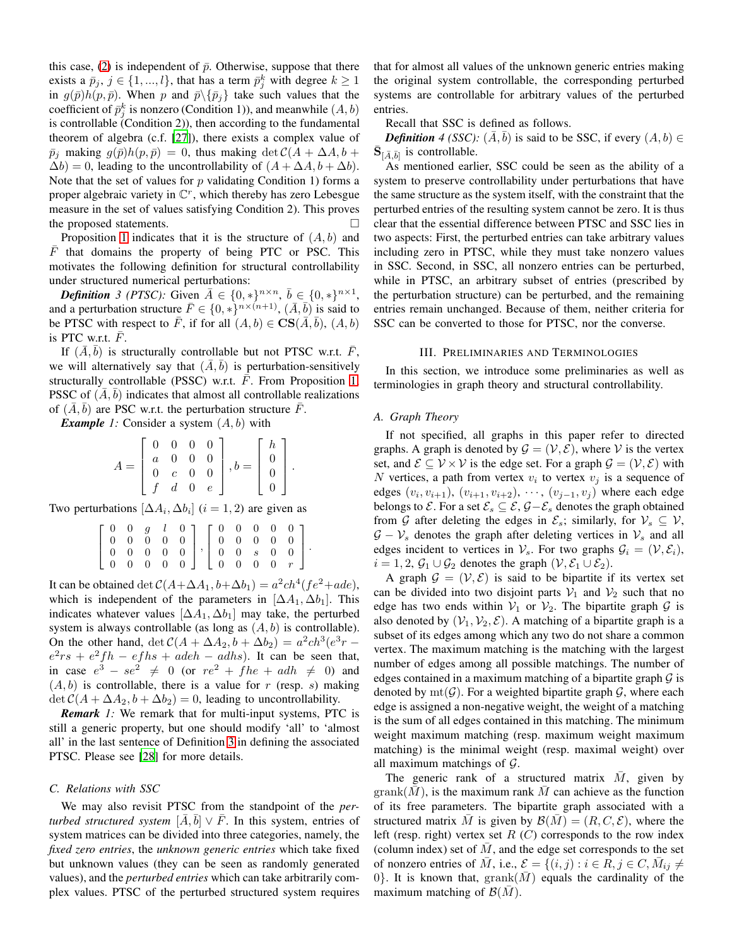this case, [\(2\)](#page-1-1) is independent of  $\bar{p}$ . Otherwise, suppose that there exists a  $\bar{p}_j$ ,  $j \in \{1, ..., l\}$ , that has a term  $\bar{p}_j^k$  with degree  $k \ge 1$ in  $g(\bar{p})h(p,\bar{p})$ . When p and  $\bar{p}\setminus{\{\bar{p}_j\}}$  take such values that the coefficient of  $\bar{p}_j^k$  is nonzero (Condition 1)), and meanwhile  $(A, b)$ is controllable (Condition 2)), then according to the fundamental theorem of algebra (c.f. [\[27\]](#page-8-18)), there exists a complex value of  $\bar{p}_i$  making  $g(\bar{p})h(p,\bar{p}) = 0$ , thus making det  $C(A + \Delta A, b + \bar{p})$  $\Delta b$ ) = 0, leading to the uncontrollability of  $(A + \Delta A, b + \Delta b)$ . Note that the set of values for  $p$  validating Condition 1) forms a proper algebraic variety in  $\mathbb{C}^r$ , which thereby has zero Lebesgue measure in the set of values satisfying Condition 2). This proves the proposed statements.

Proposition [1](#page-1-2) indicates that it is the structure of  $(A, b)$  and  $\overline{F}$  that domains the property of being PTC or PSC. This motivates the following definition for structural controllability under structured numerical perturbations:

<span id="page-2-0"></span>*Definition* 3 (PTSC): Given  $\overline{A} \in \{0, *\}^{n \times n}$ ,  $\overline{b} \in \{0, *\}^{n \times 1}$ , and a perturbation structure  $\bar{F} \in \{0, *\}^{n \times (n+1)}$ ,  $(\bar{A}, \bar{b})$  is said to be PTSC with respect to  $\bar{F}$ , if for all  $(A, b) \in \mathbf{CS}(\bar{A}, \bar{b})$ ,  $(A, b)$ is PTC w.r.t.  $\overline{F}$ .

If  $(\overline{A}, \overline{b})$  is structurally controllable but not PTSC w.r.t.  $\overline{F}$ , we will alternatively say that  $(\overline{A}, \overline{b})$  is perturbation-sensitively structurally controllable (PSSC) w.r.t.  $\overline{F}$ . From Proposition [1,](#page-1-2) PSSC of  $(\overline{A}, \overline{b})$  indicates that almost all controllable realizations of  $(A, b)$  are PSC w.r.t. the perturbation structure F.

<span id="page-2-1"></span>*Example 1:* Consider a system  $(A, b)$  with

$$
A = \begin{bmatrix} 0 & 0 & 0 & 0 \\ a & 0 & 0 & 0 \\ 0 & c & 0 & 0 \\ f & d & 0 & e \end{bmatrix}, b = \begin{bmatrix} h \\ 0 \\ 0 \\ 0 \end{bmatrix}.
$$

Two perturbations  $[\Delta A_i, \Delta b_i]$   $(i = 1, 2)$  are given as

|  |  |  | $\left[ \begin{array}{cccc} 0 & 0 & g & l & 0 \ 0 & 0 & 0 & 0 & 0 \ 0 & 0 & 0 & 0 & 0 \ 0 & 0 & 0 & 0 & 0 \end{array} \right], \left[ \begin{array}{cccc} 0 & 0 & 0 & 0 & 0 \ 0 & 0 & 0 & 0 & 0 \ 0 & 0 & s & 0 & 0 \ 0 & 0 & 0 & 0 & r \end{array} \right]$ |  |  |  |
|--|--|--|--------------------------------------------------------------------------------------------------------------------------------------------------------------------------------------------------------------------------------------------------------------|--|--|--|

It can be obtained  $\det C(A + \Delta A_1, b + \Delta b_1) = a^2 c h^4 (fe^2 + ade),$ which is independent of the parameters in  $[\Delta A_1, \Delta b_1]$ . This indicates whatever values  $[\Delta A_1, \Delta b_1]$  may take, the perturbed system is always controllable (as long as  $(A, b)$  is controllable). On the other hand,  $\det C(A + \Delta A_2, b + \Delta b_2) = a^2 ch^3(e^{3}r$  $e^2rs + e^2fh - efhs + adeh - adhs$ ). It can be seen that, in case  $e^3 - se^2 \neq 0$  (or  $re^2 + fhe + adh \neq 0$ ) and  $(A, b)$  is controllable, there is a value for r (resp. s) making  $\det C(A + \Delta A_2, b + \Delta b_2) = 0$ , leading to uncontrollability.

*Remark 1:* We remark that for multi-input systems, PTC is still a generic property, but one should modify 'all' to 'almost all' in the last sentence of Definition [3](#page-2-0) in defining the associated PTSC. Please see [\[28](#page-8-19)] for more details.

# *C. Relations with SSC*

We may also revisit PTSC from the standpoint of the *perturbed structured system*  $[\bar{A}, \bar{b}] \vee \bar{F}$ . In this system, entries of system matrices can be divided into three categories, namely, the *fixed zero entries*, the *unknown generic entries* which take fixed but unknown values (they can be seen as randomly generated values), and the *perturbed entries* which can take arbitrarily complex values. PTSC of the perturbed structured system requires that for almost all values of the unknown generic entries making the original system controllable, the corresponding perturbed systems are controllable for arbitrary values of the perturbed entries.

Recall that SSC is defined as follows.

*Definition* 4 (SSC):  $(\overline{A}, \overline{b})$  is said to be SSC, if every  $(A, b) \in$  $\bar{\mathbf{S}}_{\left[\bar{A},\bar{b}\right]}$  is controllable.

As mentioned earlier, SSC could be seen as the ability of a system to preserve controllability under perturbations that have the same structure as the system itself, with the constraint that the perturbed entries of the resulting system cannot be zero. It is thus clear that the essential difference between PTSC and SSC lies in two aspects: First, the perturbed entries can take arbitrary values including zero in PTSC, while they must take nonzero values in SSC. Second, in SSC, all nonzero entries can be perturbed, while in PTSC, an arbitrary subset of entries (prescribed by the perturbation structure) can be perturbed, and the remaining entries remain unchanged. Because of them, neither criteria for SSC can be converted to those for PTSC, nor the converse.

#### III. PRELIMINARIES AND TERMINOLOGIES

In this section, we introduce some preliminaries as well as terminologies in graph theory and structural controllability.

## *A. Graph Theory*

If not specified, all graphs in this paper refer to directed graphs. A graph is denoted by  $\mathcal{G} = (\mathcal{V}, \mathcal{E})$ , where V is the vertex set, and  $\mathcal{E} \subseteq \mathcal{V} \times \mathcal{V}$  is the edge set. For a graph  $\mathcal{G} = (\mathcal{V}, \mathcal{E})$  with N vertices, a path from vertex  $v_i$  to vertex  $v_j$  is a sequence of edges  $(v_i, v_{i+1}), (v_{i+1}, v_{i+2}), \cdots, (v_{j-1}, v_j)$  where each edge belongs to  $\mathcal{E}$ . For a set  $\mathcal{E}_s \subseteq \mathcal{E}, \mathcal{G} - \mathcal{E}_s$  denotes the graph obtained from G after deleting the edges in  $\mathcal{E}_s$ ; similarly, for  $\mathcal{V}_s \subseteq \mathcal{V}$ ,  $G - V_s$  denotes the graph after deleting vertices in  $V_s$  and all edges incident to vertices in  $V_s$ . For two graphs  $\mathcal{G}_i = (\mathcal{V}, \mathcal{E}_i)$ ,  $i = 1, 2, \mathcal{G}_1 \cup \mathcal{G}_2$  denotes the graph  $(\mathcal{V}, \mathcal{E}_1 \cup \mathcal{E}_2)$ .

A graph  $\mathcal{G} = (\mathcal{V}, \mathcal{E})$  is said to be bipartite if its vertex set can be divided into two disjoint parts  $V_1$  and  $V_2$  such that no edge has two ends within  $V_1$  or  $V_2$ . The bipartite graph G is also denoted by  $(\mathcal{V}_1, \mathcal{V}_2, \mathcal{E})$ . A matching of a bipartite graph is a subset of its edges among which any two do not share a common vertex. The maximum matching is the matching with the largest number of edges among all possible matchings. The number of edges contained in a maximum matching of a bipartite graph  $\mathcal G$  is denoted by  $\text{mt}(\mathcal{G})$ . For a weighted bipartite graph  $\mathcal{G}$ , where each edge is assigned a non-negative weight, the weight of a matching is the sum of all edges contained in this matching. The minimum weight maximum matching (resp. maximum weight maximum matching) is the minimal weight (resp. maximal weight) over all maximum matchings of  $G$ .

The generic rank of a structured matrix  $\overline{M}$ , given by  $\mathrm{grank}(\overline{M})$ , is the maximum rank  $\overline{M}$  can achieve as the function of its free parameters. The bipartite graph associated with a structured matrix  $\overline{M}$  is given by  $\mathcal{B}(\overline{M}) = (R, C, \mathcal{E})$ , where the left (resp. right) vertex set  $R(C)$  corresponds to the row index (column index) set of  $M$ , and the edge set corresponds to the set of nonzero entries of  $\overline{M}$ , i.e.,  $\mathcal{E} = \{ (i, j) : i \in \overline{R}, j \in C, \overline{M}_{ij} \neq j \}$ 0. It is known that, grank $(M)$  equals the cardinality of the maximum matching of  $\mathcal{B}(M)$ .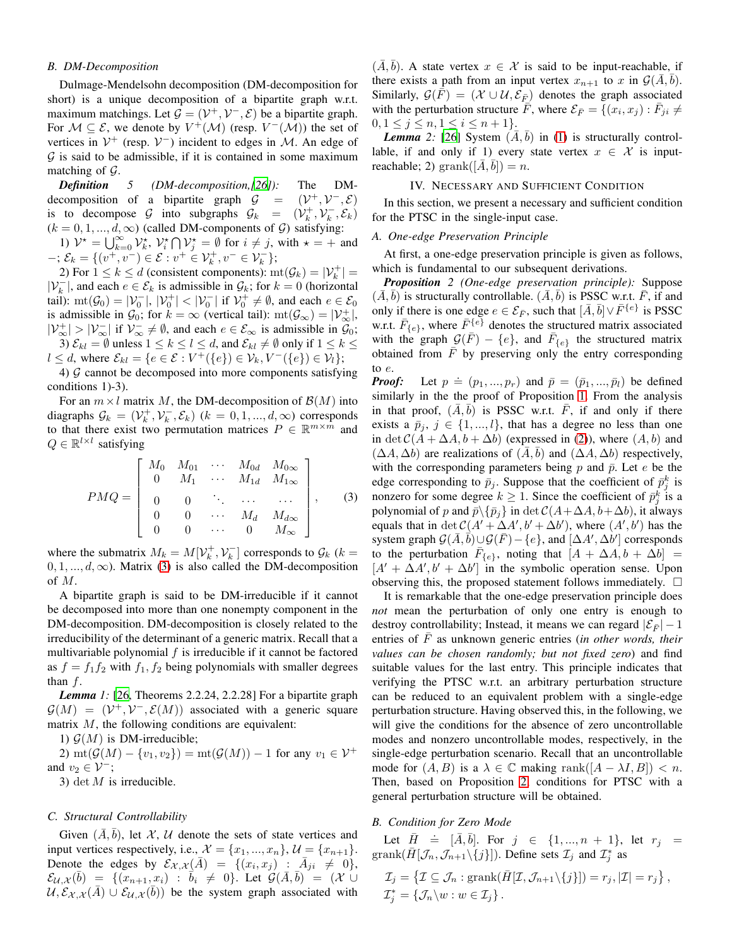## *B. DM-Decomposition*

Dulmage-Mendelsohn decomposition (DM-decomposition for short) is a unique decomposition of a bipartite graph w.r.t. maximum matchings. Let  $\mathcal{G} = (\mathcal{V}^+, \mathcal{V}^-, \mathcal{E})$  be a bipartite graph. For  $M \subseteq \mathcal{E}$ , we denote by  $V^+(\mathcal{M})$  (resp.  $V^-(\mathcal{M})$ ) the set of vertices in  $V^+$  (resp.  $V^-$ ) incident to edges in M. An edge of  $G$  is said to be admissible, if it is contained in some maximum matching of  $\mathcal{G}$ .

<span id="page-3-3"></span>*Definition 5 (DM-decomposition,[\[26\]](#page-8-17)):* The DMdecomposition of a bipartite graph  $\mathcal{G}$  =  $^{+}$ ,  $\mathcal{V}^{-}$ ,  $\mathcal{E}$ ) is to decompose G into subgraphs  $\mathcal{G}_k = (\mathcal{V}_k^+, \mathcal{V}_k^-, \mathcal{E}_k)$  $(k = 0, 1, ..., d, \infty)$  (called DM-components of  $G$ ) satisfying:

1)  $V^* = \bigcup_{k=0}^{\infty} V_k^*$ ,  $V_i^* \bigcap V_j^* = \emptyset$  for  $i \neq j$ , with  $* = +$  and  $-$ ;  $\mathcal{E}_k = \{ (v^+, v^-) \in \mathcal{E} : v^+ \in \mathcal{V}_k^+, v^- \in \mathcal{V}_k^- \};$ 

2) For  $1 \leq k \leq d$  (consistent components):  $\text{mt}(\mathcal{G}_k) = |\mathcal{V}_k^+|$  $|V_k^-|$ , and each  $e \in \mathcal{E}_k$  is admissible in  $\mathcal{G}_k$ ; for  $k = 0$  (horizontal tail):  $\text{mt}(\mathcal{G}_0) = |\mathcal{V}_0^-|, |\mathcal{V}_0^+| < |\mathcal{V}_0^-|$  if  $\mathcal{V}_0^+ \neq \emptyset$ , and each  $e \in \mathcal{E}_0$ is admissible in  $\mathcal{G}_0$ ; for  $k = \infty$  (vertical tail):  $\text{mt}(\mathcal{G}_{\infty}) = |\mathcal{V}_{\infty}^+|$ ,  $|\mathcal{V}_{\infty}^+| > |\mathcal{V}_{\infty}^-|$  if  $\mathcal{V}_{\infty}^- \neq \emptyset$ , and each  $e \in \mathcal{E}_{\infty}$  is admissible in  $\mathcal{G}_0$ ;

3)  $\mathcal{E}_{kl} = \emptyset$  unless  $1 \leq k \leq l \leq d$ , and  $\mathcal{E}_{kl} \neq \emptyset$  only if  $1 \leq k \leq d$  $l \le d$ , where  $\mathcal{E}_{kl} = \{e \in \mathcal{E} : V^+(\{e\}) \in \mathcal{V}_k, V^-(\{e\}) \in \mathcal{V}_l\};$ 

4)  $G$  cannot be decomposed into more components satisfying conditions 1)-3).

For an  $m \times l$  matrix M, the DM-decomposition of  $\mathcal{B}(M)$  into diagraphs  $\mathcal{G}_k = (\mathcal{V}_k^+, \mathcal{V}_k^-, \mathcal{E}_k)$   $(k = 0, 1, ..., d, \infty)$  corresponds to that there exist two permutation matrices  $P \in \mathbb{R}^{m \times m}$  and  $Q \in \mathbb{R}^{l \times l}$  satisfying

<span id="page-3-0"></span>
$$
PMQ = \begin{bmatrix} M_0 & M_{01} & \cdots & M_{0d} & M_{0\infty} \\ 0 & M_1 & \cdots & M_{1d} & M_{1\infty} \\ 0 & 0 & \ddots & \cdots & \cdots \\ 0 & 0 & \cdots & M_d & M_{d\infty} \\ 0 & 0 & \cdots & 0 & M_{\infty} \end{bmatrix},
$$
 (3)

where the submatrix  $M_k = M[\mathcal{V}_k^+, \mathcal{V}_k^-]$  corresponds to  $\mathcal{G}_k$  ( $k =$  $0, 1, \ldots, d, \infty$ ). Matrix [\(3\)](#page-3-0) is also called the DM-decomposition of M.

A bipartite graph is said to be DM-irreducible if it cannot be decomposed into more than one nonempty component in the DM-decomposition. DM-decomposition is closely related to the irreducibility of the determinant of a generic matrix. Recall that a multivariable polynomial  $f$  is irreducible if it cannot be factored as  $f = f_1 f_2$  with  $f_1, f_2$  being polynomials with smaller degrees than  $f$ .

<span id="page-3-4"></span>*Lemma 1:* [\[26,](#page-8-17) Theorems 2.2.24, 2.2.28] For a bipartite graph  $G(M) = (\mathcal{V}^+, \mathcal{V}^-, \mathcal{E}(M))$  associated with a generic square matrix  $M$ , the following conditions are equivalent:

1)  $\mathcal{G}(M)$  is DM-irreducible;

2) mt( $\mathcal{G}(M) - \{v_1, v_2\}$ ) = mt( $\mathcal{G}(M)$ ) – 1 for any  $v_1 \in \mathcal{V}^+$ and  $v_2 \in \mathcal{V}^-$ ;

3) det  $M$  is irreducible.

## *C. Structural Controllability*

Given  $(A, b)$ , let X, U denote the sets of state vertices and input vertices respectively, i.e.,  $\mathcal{X} = \{x_1, ..., x_n\}, \mathcal{U} = \{x_{n+1}\}.$ Denote the edges by  $\mathcal{E}_{\mathcal{X},\mathcal{X}}(\bar{A}) = \{ (x_i, x_j) : \bar{A}_{ji} \neq 0 \},\$  $\mathcal{E}_{\mathcal{U},\mathcal{X}}(\bar{b}) = \{ (x_{n+1}, x_i) : \bar{b}_i \neq 0 \}.$  Let  $\mathcal{G}(\bar{A}, \bar{b}) = (\mathcal{X} \cup$  $U, \mathcal{E}_{\mathcal{X},\mathcal{X}}(\overline{A}) \cup \mathcal{E}_{\mathcal{U},\mathcal{X}}(\overline{b}))$  be the system graph associated with

 $(\overline{A}, \overline{b})$ . A state vertex  $x \in \mathcal{X}$  is said to be input-reachable, if there exists a path from an input vertex  $x_{n+1}$  to x in  $\mathcal{G}(\bar{A}, \bar{b})$ . Similarly,  $\mathcal{G}(\overline{F}) = (\mathcal{X} \cup \mathcal{U}, \mathcal{E}_{\overline{F}})$  denotes the graph associated with the perturbation structure  $\overline{\vec{F}}$ , where  $\mathcal{E}_{\overline{F}} = \{ (x_i, x_j) : \overline{F}_{ji} \neq$  $0, 1 \leq j \leq n, 1 \leq i \leq n+1$ .

*Lemma* 2: [\[26](#page-8-17)] System  $(\overline{A}, \overline{b})$  in [\(1\)](#page-1-0) is structurally controllable, if and only if 1) every state vertex  $x \in \mathcal{X}$  is inputreachable; 2) grank $([\bar{A}, \bar{b}]) = n$ .

# <span id="page-3-2"></span>IV. NECESSARY AND SUFFICIENT CONDITION

In this section, we present a necessary and sufficient condition for the PTSC in the single-input case.

## *A. One-edge Preservation Principle*

<span id="page-3-1"></span>At first, a one-edge preservation principle is given as follows, which is fundamental to our subsequent derivations.

*Proposition 2 (One-edge preservation principle):* Suppose  $(\overline{A}, \overline{b})$  is structurally controllable.  $(\overline{A}, \overline{b})$  is PSSC w.r.t.  $\overline{F}$ , if and only if there is one edge  $e \in \mathcal{E}_{\bar{F}}$ , such that  $[\bar{A}, \bar{b}] \vee \bar{F}^{\{e\}}$  is PSSC w.r.t.  $\bar{F}_{\{e\}}$ , where  $\bar{F}^{\{e\}}$  denotes the structured matrix associated with the graph  $G(\bar{F}) - \{e\}$ , and  $\bar{F}_{\{e\}}$  the structured matrix obtained from  $\overline{F}$  by preserving only the entry corresponding to e.

**Proof:** Let  $p \doteq (p_1, ..., p_r)$  and  $\overline{p} = (\overline{p}_1, ..., \overline{p}_l)$  be defined similarly in the the proof of Proposition [1.](#page-1-2) From the analysis in that proof,  $(\overline{A}, \overline{b})$  is PSSC w.r.t.  $\overline{F}$ , if and only if there exists a  $\bar{p}_i$ ,  $j \in \{1, ..., l\}$ , that has a degree no less than one in det  $C(A + \Delta A, b + \Delta b)$  (expressed in [\(2\)](#page-1-1)), where  $(A, b)$  and  $(\Delta A, \Delta b)$  are realizations of  $(A, b)$  and  $(\Delta A, \Delta b)$  respectively, with the corresponding parameters being  $p$  and  $\bar{p}$ . Let  $e$  be the edge corresponding to  $\bar{p}_j$ . Suppose that the coefficient of  $\bar{p}_j^k$  is nonzero for some degree  $k \geq 1$ . Since the coefficient of  $\bar{p}_j^k$  is a polynomial of p and  $\bar{p}\backslash{\{\bar{p}_j\}}$  in  $\det C(A+\Delta A, b+\Delta b)$ , it always equals that in  $\det C(A' + \Delta A', b' + \Delta b')$ , where  $(A', b')$  has the system graph  $\mathcal{G}(\overline{A}, \overline{b}) \cup \mathcal{G}(\overline{F}) - \{e\}$ , and  $[\Delta A', \Delta b']$  corresponds to the perturbation  $\overline{F}_{\{e\}}$ , noting that  $[A + \Delta A, b + \Delta b] =$  $[A' + \Delta A', b' + \Delta b']$  in the symbolic operation sense. Upon observing this, the proposed statement follows immediately.  $\Box$ 

It is remarkable that the one-edge preservation principle does *not* mean the perturbation of only one entry is enough to destroy controllability; Instead, it means we can regard  $|\mathcal{E}_{\overline{F}}| - 1$ entries of  $\overline{F}$  as unknown generic entries (*in other words, their values can be chosen randomly; but not fixed zero*) and find suitable values for the last entry. This principle indicates that verifying the PTSC w.r.t. an arbitrary perturbation structure can be reduced to an equivalent problem with a single-edge perturbation structure. Having observed this, in the following, we will give the conditions for the absence of zero uncontrollable modes and nonzero uncontrollable modes, respectively, in the single-edge perturbation scenario. Recall that an uncontrollable mode for  $(A, B)$  is a  $\lambda \in \mathbb{C}$  making rank $([A - \lambda I, B]) < n$ . Then, based on Proposition [2,](#page-3-1) conditions for PTSC with a general perturbation structure will be obtained.

## *B. Condition for Zero Mode*

Let  $\bar{H}$   $\doteq$   $[\bar{A}, \bar{b}]$ . For  $j \in \{1, ..., n + 1\}$ , let  $r_j$  = grank $(\bar{H}[\mathcal{J}_n, \mathcal{J}_{n+1} \setminus \{j\}])$ . Define sets  $\mathcal{I}_j$  and  $\mathcal{I}_j^*$  as  $\mathcal{I}_j = \{ \mathcal{I} \subseteq \mathcal{J}_n : \text{grank}(\bar{H}[\mathcal{I}, \mathcal{J}_{n+1} \setminus \{j\}]) = r_j, |\mathcal{I}| = r_j \},\$  $\mathcal{I}_j^* = \{ \mathcal{J}_n \backslash w : w \in \mathcal{I}_j \}.$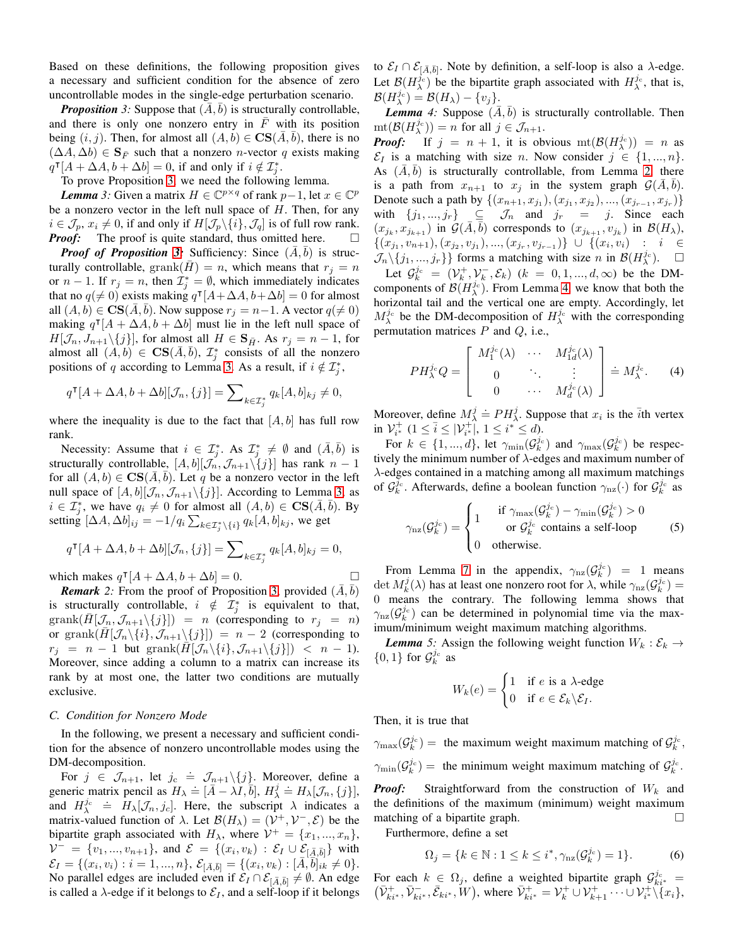Based on these definitions, the following proposition gives a necessary and sufficient condition for the absence of zero uncontrollable modes in the single-edge perturbation scenario.

<span id="page-4-0"></span>*Proposition* 3: Suppose that  $(A, b)$  is structurally controllable, and there is only one nonzero entry in  $\overline{F}$  with its position being  $(i, j)$ . Then, for almost all  $(A, b) \in \mathbf{CS}(\overline{A}, \overline{b})$ , there is no  $(\Delta A, \Delta b) \in \mathbf{S}_{\overline{F}}$  such that a nonzero *n*-vector q exists making  $q^{\mathsf{T}}[A + \Delta A, b + \Delta b] = 0$ , if and only if  $i \notin \mathcal{I}_j^*$ .

<span id="page-4-1"></span>To prove Proposition [3,](#page-4-0) we need the following lemma.

*Lemma* 3: Given a matrix  $H \in \mathbb{C}^{p \times q}$  of rank  $p-1$ , let  $x \in \mathbb{C}^p$ be a nonzero vector in the left null space of  $H$ . Then, for any  $i \in \mathcal{J}_p$ ,  $x_i \neq 0$ , if and only if  $H[\mathcal{J}_p\backslash\{i\},\mathcal{J}_q]$  is of full row rank. *Proof:* The proof is quite standard, thus omitted here. □

*Proof of Proposition [3:](#page-4-0)* Sufficiency: Since  $(\bar{A}, \bar{b})$  is structurally controllable, grank $(H) = n$ , which means that  $r<sub>i</sub> = n$ or  $n-1$ . If  $r_j = n$ , then  $\mathcal{I}_j^* = \emptyset$ , which immediately indicates that no  $q(\neq 0)$  exists making  $q^{\dagger}[A+\Delta A, b+\Delta b] = 0$  for almost all  $(A, b) \in \mathbf{CS}(A, \overline{b})$ . Now suppose  $r_j = n-1$ . A vector  $q(\neq 0)$ making  $q^{\dagger} [A + \Delta A, b + \Delta b]$  must lie in the left null space of  $H[\mathcal{J}_n, J_{n+1}\setminus\{j\}]$ , for almost all  $H \in \mathbf{S}_{\bar{H}}$ . As  $r_j = n-1$ , for almost all  $(A, b) \in \mathbf{CS}(\overline{A}, \overline{b}),$   $\mathcal{I}^*_j$  consists of all the nonzero positions of q according to Lemma [3.](#page-4-1) As a result, if  $i \notin \mathcal{I}_j^*$ ,

$$
q^{\mathsf{T}}[A+\Delta A, b+\Delta b][\mathcal{J}_n, \{j\}] = \sum_{k \in \mathcal{I}_j^*} q_k[A, b]_{kj} \neq 0,
$$

where the inequality is due to the fact that  $[A, b]$  has full row rank.

Necessity: Assume that  $i \in \mathcal{I}_{j}^{*}$ . As  $\mathcal{I}_{j}^{*} \neq \emptyset$  and  $(\bar{A}, \bar{b})$  is structurally controllable,  $[A, b][\mathcal{J}_n, \mathcal{J}_{n+1}\setminus\{j\}]$  has rank  $n-1$ for all  $(A, b) \in \mathbf{CS}(\overline{A}, \overline{b})$ . Let q be a nonzero vector in the left null space of  $[A, b][\mathcal{J}_n, \mathcal{J}_{n+1}\setminus\{j\}]$ . According to Lemma [3,](#page-4-1) as  $i \in \mathcal{I}_j^*$ , we have  $q_i \neq 0$  for almost all  $(A, b) \in \mathbf{CS}(\bar{A}, \bar{b})$ . By setting  $[\Delta A, \Delta b]_{ij} = -1/q_i \sum_{k \in \mathcal{I}^*_j \setminus \{i\}} q_k[A, b]_{kj}$ , we get

$$
q^{\mathsf{T}}[A+\Delta A, b+\Delta b][\mathcal{J}_n, \{j\}] = \sum\nolimits_{k \in \mathcal{I}_j^*} q_k[A, b]_{kj} = 0,
$$

which makes  $q^{\mathsf{T}}[A + \Delta A, b + \Delta b] = 0.$ 

*Remark* 2: From the proof of Proposition [3,](#page-4-0) provided  $(\bar{A}, \bar{b})$ is structurally controllable,  $i \notin \mathcal{I}^*_j$  is equivalent to that,  $graph(H[\mathcal{J}_n,\mathcal{J}_{n+1}\setminus\{j\}]) = n$  (corresponding to  $r_j = n$ ) or grank $(H[\mathcal{J}_n\setminus\{i\},\mathcal{J}_{n+1}\setminus\{j\}]) = n-2$  (corresponding to  $r_j = n - 1$  but grank $(\bar{H}[\mathcal{J}_n\setminus\{i\},\mathcal{J}_{n+1}\setminus\{j\}]) < n - 1$ . Moreover, since adding a column to a matrix can increase its rank by at most one, the latter two conditions are mutually exclusive.

#### *C. Condition for Nonzero Mode*

In the following, we present a necessary and sufficient condition for the absence of nonzero uncontrollable modes using the DM-decomposition.

For  $j \in \mathcal{J}_{n+1}$ , let  $j_c \doteq \mathcal{J}_{n+1} \setminus \{j\}$ . Moreover, define a generic matrix pencil as  $H_{\lambda} = [\bar{A} - \lambda I, \bar{b}], H_{\lambda}^{\lambda} = H_{\lambda}[\mathcal{J}_n, \{j\}],$ and  $H_{\lambda}^{j_c} = H_{\lambda}[\mathcal{J}_n, j_c]$ . Here, the subscript  $\lambda$  indicates a matrix-valued function of  $\lambda$ . Let  $\mathcal{B}(H_{\lambda}) = (\mathcal{V}^+, \mathcal{V}^-, \mathcal{E})$  be the bipartite graph associated with  $H_{\lambda}$ , where  $\mathcal{V}^+ = \{x_1, ..., x_n\}$ ,  $V^- = \{v_1, ..., v_{n+1}\}\$ , and  $\mathcal{E} = \{(x_i, v_k) : \mathcal{E}_I \cup \mathcal{E}_{[\bar{A}, \bar{b}]} \}$  with  $\mathcal{E}_{I} = \{(x_{i}, v_{i}) : i = 1, ..., n\}, \, \mathcal{E}_{[\bar{A}, \bar{b}]} = \{(x_{i}, v_{k}) : [\bar{A}, \bar{b}]_{ik} \neq 0\}.$ No parallel edges are included even if  $\mathcal{E}_I \cap \mathcal{E}_{[\bar{A}, \bar{b}]} \neq \emptyset$ . An edge is called a  $\lambda$ -edge if it belongs to  $\mathcal{E}_I$ , and a self-loop if it belongs to  $\mathcal{E}_I \cap \mathcal{E}_{[\bar{A},\bar{b}]}$ . Note by definition, a self-loop is also a  $\lambda$ -edge. Let  $\mathcal{B}(H_{\lambda}^{j_{c}})$  be the bipartite graph associated with  $H_{\lambda}^{j_{c}}$ , that is,  $\mathcal{B}(H^{j_{\text{c}}}_\lambda) = \mathcal{B}(H_\lambda) - \{v_j\}.$ 

<span id="page-4-2"></span>*Lemma* 4: Suppose  $(\bar{A}, \bar{b})$  is structurally controllable. Then  $\mathrm{mt}(\mathcal{B}(H_\lambda^{j_c})) = n$  for all  $j \in \mathcal{J}_{n+1}$ .

*Proof:* If  $j = n + 1$ , it is obvious  $mt(\mathcal{B}(H_{\lambda}^{j_{c}})) = n$  as  $\mathcal{E}_I$  is a matching with size *n*. Now consider  $j \in \{1, ..., n\}$ . As  $(\overline{A}, \overline{b})$  is structurally controllable, from Lemma [2,](#page-3-2) there is a path from  $x_{n+1}$  to  $x_i$  in the system graph  $\mathcal{G}(A, b)$ . Denote such a path by  $\{(x_{n+1}, x_{j_1}), (x_{j_1}, x_{j_2}), ..., (x_{j_{r-1}}, x_{j_r})\}$ with  $\{j_1, ..., j_r\} \subseteq \mathcal{J}_n$  and  $j_r = j$ . Since each  $(x_{j_k}, x_{j_{k+1}})$  in  $\mathcal{G}(\bar{A}, \bar{b})$  corresponds to  $(x_{j_{k+1}}, v_{j_k})$  in  $\mathcal{B}(H_{\lambda})$ ,  $\{(x_{j_1}, v_{n+1}), (x_{j_2}, v_{j_1}), ..., (x_{j_r}, v_{j_{r-1}})\}\ \cup\ \{(x_i, v_i)\ : \ i \in$  $\mathcal{J}_n \setminus \{j_1, ..., j_r\}$  forms a matching with size n in  $\mathcal{B}(H_\lambda^{j_c})$ .  $\Box$ Let  $\mathcal{G}_k^{j_c} = (\mathcal{V}_k^+, \mathcal{V}_k^-, \mathcal{E}_k)$   $(k = 0, 1, ..., d, \infty)$  be the DM-

components of  $\mathcal{B}(H^{j_c}_{\lambda})$ . From Lemma [4,](#page-4-2) we know that both the horizontal tail and the vertical one are empty. Accordingly, let  $M_{\lambda}^{j_c}$  be the DM-decomposition of  $H_{\lambda}^{j_c}$  with the corresponding permutation matrices  $P$  and  $Q$ , i.e.,

<span id="page-4-3"></span>
$$
PH_{\lambda}^{j_{c}}Q = \begin{bmatrix} M_{1}^{j_{c}}(\lambda) & \cdots & M_{1d}^{j_{c}}(\lambda) \\ 0 & \ddots & \vdots \\ 0 & \cdots & M_{d}^{j_{c}}(\lambda) \end{bmatrix} = M_{\lambda}^{j_{c}}.
$$
 (4)

Moreover, define  $M^j_\lambda = PH^j_\lambda$ . Suppose that  $x_i$  is the  $\bar{i}$ th vertex in  $\mathcal{V}_{i^*}^+$   $(1 \leq \overline{i} \leq |\mathcal{V}_{i^*}^+|, 1 \leq i^* \leq d)$ .

For  $k \in \{1, ..., d\}$ , let  $\gamma_{\min}(\mathcal{G}_k^{j_c})$  and  $\gamma_{\max}(\mathcal{G}_k^{j_c})$  be respectively the minimum number of  $\lambda$ -edges and maximum number of λ-edges contained in a matching among all maximum matchings of  $\mathcal{G}_k^{j_c}$ . Afterwards, define a boolean function  $\gamma_{\text{nz}}(\cdot)$  for  $\mathcal{G}_k^{j_c}$  as

$$
\gamma_{\rm nz}(\mathcal{G}_k^{j_{\rm c}}) = \begin{cases}\n1 & \text{if } \gamma_{\rm max}(\mathcal{G}_k^{j_{\rm c}}) - \gamma_{\rm min}(\mathcal{G}_k^{j_{\rm c}}) > 0 \\
& \text{or } \mathcal{G}_k^{j_{\rm c}} \text{ contains a self-loop} \\
0 & \text{otherwise.} \n\end{cases}
$$
\n(5)

From Lemma [7](#page-6-0) in the appendix,  $\gamma_{\text{nz}}(\mathcal{G}_k^{j_c}) = 1$  means det  $M_k^j(\lambda)$  has at least one nonzero root for  $\lambda$ , while  $\gamma_{\text{nz}}(G_k^{j_c}) =$ 0 means the contrary. The following lemma shows that  $\gamma_{\text{nz}}(\mathcal{G}_k^{j_c})$  can be determined in polynomial time via the maximum/minimum weight maximum matching algorithms.

*Lemma* 5: Assign the following weight function  $W_k : \mathcal{E}_k \to$  $\{0,1\}$  for  $\mathcal{G}_k^{j_c}$  as

$$
W_k(e) = \begin{cases} 1 & \text{if } e \text{ is a } \lambda \text{-edge} \\ 0 & \text{if } e \in \mathcal{E}_k \backslash \mathcal{E}_I. \end{cases}
$$

Then, it is true that

 $\gamma_{\text{max}}(\mathcal{G}_k^{j_c}) =$  the maximum weight maximum matching of  $\mathcal{G}_k^{j_c}$ ,  $\gamma_{\min}(\mathcal{G}_k^{j_c}) =$  the minimum weight maximum matching of  $\mathcal{G}_k^{j_c}$ . *Proof:* Straightforward from the construction of  $W_k$  and the definitions of the maximum (minimum) weight maximum matching of a bipartite graph. Furthermore, define a set

<span id="page-4-4"></span>
$$
\Omega_j = \{ k \in \mathbb{N} : 1 \le k \le i^*, \gamma_{\rm nz}(\mathcal{G}_k^{j_{\rm c}}) = 1 \}.
$$
 (6)

For each  $k \in \Omega_j$ , define a weighted bipartite graph  $\mathcal{G}_{ki^*}^{j_c} =$  $(\bar{\mathcal{V}}_{ki^*}^+, \bar{\mathcal{V}}_{ki^*}^-, \bar{\mathcal{E}}_{ki^*}, W)$ , where  $\bar{\mathcal{V}}_{ki^*}^+ = \mathcal{V}_k^+ \cup \mathcal{V}_{k+1}^+ \cdots \cup \mathcal{V}_{i^*}^+ \setminus \{x_i\}$ ,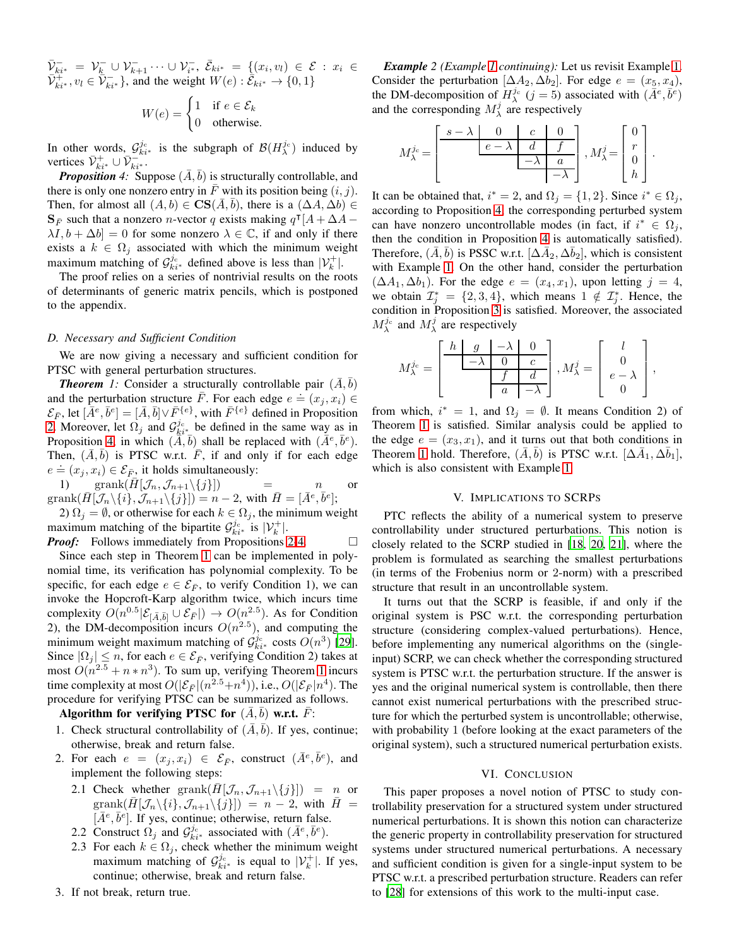$\bar{\mathcal{V}}_{k i^{*}}^{-} = \mathcal{V}_{k}^{-} \cup \mathcal{V}_{k+1}^{-} \cdots \cup \mathcal{V}_{i^{*}}^{-}$ ,  $\bar{\mathcal{E}}_{k i^{*}} = \{ (x_{i}, v_{l}) \in \mathcal{E} : x_{i} \in$  $\bar{\mathcal{V}}_{ki^*}^+, v_l \in \bar{\mathcal{V}}_{ki^*}^-$ , and the weight  $W(e): \bar{\mathcal{E}}_{ki^*} \to \{0,1\}$ 

$$
W(e) = \begin{cases} 1 & \text{if } e \in \mathcal{E}_k \\ 0 & \text{otherwise.} \end{cases}
$$

In other words,  $\mathcal{G}_{ki*}^{j_c}$  is the subgraph of  $\mathcal{B}(H_\lambda^{j_c})$  induced by vertices  $\bar{\mathcal{V}}_{ki^*}^+ \cup \bar{\mathcal{V}}_{ki^*}^{-m}$ .

<span id="page-5-0"></span>*Proposition* 4: Suppose  $(\overline{A}, \overline{b})$  is structurally controllable, and there is only one nonzero entry in  $\overline{F}$  with its position being  $(i, j)$ . Then, for almost all  $(A, b) \in \mathbf{CS}(\overline{A}, \overline{b})$ , there is a  $(\Delta A, \Delta b) \in$  $\mathbf{S}_{\bar{F}}$  such that a nonzero *n*-vector q exists making  $q^{\mathsf{T}}[A + \Delta A - ]$  $\lambda I, b + \Delta b$ ] = 0 for some nonzero  $\lambda \in \mathbb{C}$ , if and only if there exists a  $k \in \Omega_j$  associated with which the minimum weight maximum matching of  $\mathcal{G}_{ki*}^{j_c}$  defined above is less than  $|\mathcal{V}_k^+|$ .

The proof relies on a series of nontrivial results on the roots of determinants of generic matrix pencils, which is postponed to the appendix.

## *D. Necessary and Sufficient Condition*

We are now giving a necessary and sufficient condition for PTSC with general perturbation structures.

<span id="page-5-1"></span>*Theorem* 1: Consider a structurally controllable pair  $(\overline{A}, \overline{b})$ and the perturbation structure  $\overline{F}$ . For each edge  $e = (x_j, x_i) \in$  $\mathcal{E}_{\bar{F}}$ , let  $[\bar{A}^e, \bar{b}^e] = [\bar{A}, \bar{b}] \vee \bar{F}^{\{e\}}$ , with  $\bar{F}^{\{e\}}$  defined in Proposition [2.](#page-3-1) Moreover, let  $\Omega_j$  and  $\mathcal{G}_{k i^*}^{j_c}$  be defined in the same way as in Proposition [4,](#page-5-0) in which  $(\tilde{A}, \tilde{b})$  shall be replaced with  $(\tilde{A}^e, \tilde{b}^e)$ . Then,  $(\bar{A}, \bar{b})$  is PTSC w.r.t.  $\bar{F}$ , if and only if for each edge FREE,  $(21, 5)$  is 1 150 while 1, it and on<br>  $e = (x_j, x_i) \in \mathcal{E}_{\bar{F}}$ , it holds simultaneously:

1) grank $(\bar{H}[\mathcal{J}_n,\mathcal{J}_{n+1}\setminus\{j\}])$  = n or  $\text{grank}(\bar{H}[\mathcal{J}_n\setminus\{i\},\mathcal{J}_{n+1}\setminus\{j\}]) = n-2$ , with  $\bar{H}=[\bar{A}^e,\bar{b}^e];$ 

2)  $\Omega_j = \emptyset$ , or otherwise for each  $k \in \Omega_j$ , the minimum weight maximum matching of the bipartite  $\mathcal{G}^{j_c}_{ki^*}$  is  $|\mathcal{V}_k^+|$ .

*Proof:* Follows immediately from Propositions [2](#page-3-1)[-4.](#page-5-0) □ Since each step in Theorem [1](#page-5-1) can be implemented in polynomial time, its verification has polynomial complexity. To be specific, for each edge  $e \in \mathcal{E}_{\bar{F}}$ , to verify Condition 1), we can invoke the Hopcroft-Karp algorithm twice, which incurs time complexity  $O(n^{0.5}|\mathcal{E}_{[\bar{A},\bar{b}]} \cup \mathcal{E}_{\bar{F}}|) \rightarrow O(n^{2.5})$ . As for Condition 2), the DM-decomposition incurs  $O(n^{2.5})$ , and computing the minimum weight maximum matching of  $\mathcal{G}_{ki*}^{j_c}$  costs  $O(n^3)$  [\[29\]](#page-8-20). Since  $|\Omega_j| \leq n$ , for each  $e \in \mathcal{E}_{\bar{F}}$ , verifying Condition 2) takes at most  $O(n^{2.5} + n \cdot n^3)$ . To sum up, verifying Theorem [1](#page-5-1) incurs time complexity at most  $O(|\mathcal{E}_{\bar{F}}|(n^{2.5}+n^4))$ , i.e.,  $O(|\mathcal{E}_{\bar{F}}|n^4)$ . The procedure for verifying PTSC can be summarized as follows.

# Algorithm for verifying PTSC for  $(\overline{A}, \overline{b})$  w.r.t.  $\overline{F}$ :

- 1. Check structural controllability of  $(\overline{A}, \overline{b})$ . If yes, continue; otherwise, break and return false.
- 2. For each  $e = (x_j, x_i) \in \mathcal{E}_{\bar{F}}$ , construct  $(\bar{A}^e, \bar{b}^e)$ , and implement the following steps:
	- 2.1 Check whether grank $(H[\mathcal{J}_n,\mathcal{J}_{n+1}\setminus\{j\}]) = n$  or  $graph(H[\mathcal{J}_n\setminus\{i\},\mathcal{J}_{n+1}\setminus\{j\}]) = n-2$ , with  $H=$  $[\bar{A}^e, \bar{b}^e]$ . If yes, continue; otherwise, return false.
	- 2.2 Construct  $\Omega_j$  and  $\mathcal{G}_{ki^*}^{j_c}$  associated with  $(\bar{A}^e, \bar{b}^e)$ .
	- 2.3 For each  $k \in \Omega_j$ , check whether the minimum weight maximum matching of  $\mathcal{G}_{ki^*}^{j_c}$  is equal to  $|\mathcal{V}_k^+|$ . If yes, continue; otherwise, break and return false.
- 3. If not break, return true.

*Example 2 (Example [1](#page-2-1) continuing):* Let us revisit Example [1.](#page-2-1) Consider the perturbation  $[\Delta A_2, \Delta b_2]$ . For edge  $e = (x_5, x_4)$ , the DM-decomposition of  $H^{j_c}$  ( $j = 5$ ) associated with  $(\bar{A}^e, \bar{b}^e)$ and the corresponding  $M_\lambda^j$  are respectively

$$
M_\lambda^{j_{\rm c}}\!=\!\left[\begin{array}{c|c|c} s-\lambda & 0 & c & 0 \\ \hline & e-\lambda & d & f \\ \hline & -\lambda & a & \\ \hline & & -\lambda \end{array}\right], M_\lambda^j\!=\!\left[\begin{array}{c} 0 \\ r \\ 0 \\ h \end{array}\right]
$$

.

,

It can be obtained that,  $i^* = 2$ , and  $\Omega_j = \{1, 2\}$ . Since  $i^* \in \Omega_j$ , according to Proposition [4,](#page-5-0) the corresponding perturbed system can have nonzero uncontrollable modes (in fact, if  $i^* \in \Omega_j$ , then the condition in Proposition [4](#page-5-0) is automatically satisfied). Therefore,  $(\bar{A}, \bar{b})$  is PSSC w.r.t.  $[\Delta \bar{A}_2, \Delta \bar{b}_2]$ , which is consistent with Example [1.](#page-2-1) On the other hand, consider the perturbation  $(\Delta A_1, \Delta b_1)$ . For the edge  $e = (x_4, x_1)$ , upon letting  $j = 4$ , we obtain  $\mathcal{I}^*_{j} = \{2, 3, 4\}$ , which means  $1 \notin \mathcal{I}^*_{j}$ . Hence, the condition in Proposition [3](#page-4-0) is satisfied. Moreover, the associated  $M_\lambda^{j_c}$  and  $M_\lambda^j$  are respectively

$$
M_{\lambda}^{j_{c}} = \left[\begin{array}{rr|rr} h & g & -\lambda & 0 \\ \hline & -\lambda & 0 & c \\ \hline & f & d \\ \hline & a & -\lambda \end{array}\right], M_{\lambda}^{j} = \left[\begin{array}{c} l \\ 0 \\ e - \lambda \\ 0 \end{array}\right]
$$

from which,  $i^* = 1$ , and  $\Omega_j = \emptyset$ . It means Condition 2) of Theorem [1](#page-5-1) is satisfied. Similar analysis could be applied to the edge  $e = (x_3, x_1)$ , and it turns out that both conditions in Theorem [1](#page-5-1) hold. Therefore,  $(\bar{A}, \bar{b})$  is PTSC w.r.t.  $[\Delta \bar{A}_1, \Delta \bar{b}_1]$ , which is also consistent with Example [1.](#page-2-1)

#### V. IMPLICATIONS TO SCRPS

PTC reflects the ability of a numerical system to preserve controllability under structured perturbations. This notion is closely related to the SCRP studied in [\[18](#page-8-9), [20](#page-8-12), [21\]](#page-8-11), where the problem is formulated as searching the smallest perturbations (in terms of the Frobenius norm or 2-norm) with a prescribed structure that result in an uncontrollable system.

It turns out that the SCRP is feasible, if and only if the original system is PSC w.r.t. the corresponding perturbation structure (considering complex-valued perturbations). Hence, before implementing any numerical algorithms on the (singleinput) SCRP, we can check whether the corresponding structured system is PTSC w.r.t. the perturbation structure. If the answer is yes and the original numerical system is controllable, then there cannot exist numerical perturbations with the prescribed structure for which the perturbed system is uncontrollable; otherwise, with probability 1 (before looking at the exact parameters of the original system), such a structured numerical perturbation exists.

#### VI. CONCLUSION

This paper proposes a novel notion of PTSC to study controllability preservation for a structured system under structured numerical perturbations. It is shown this notion can characterize the generic property in controllability preservation for structured systems under structured numerical perturbations. A necessary and sufficient condition is given for a single-input system to be PTSC w.r.t. a prescribed perturbation structure. Readers can refer to [\[28\]](#page-8-19) for extensions of this work to the multi-input case.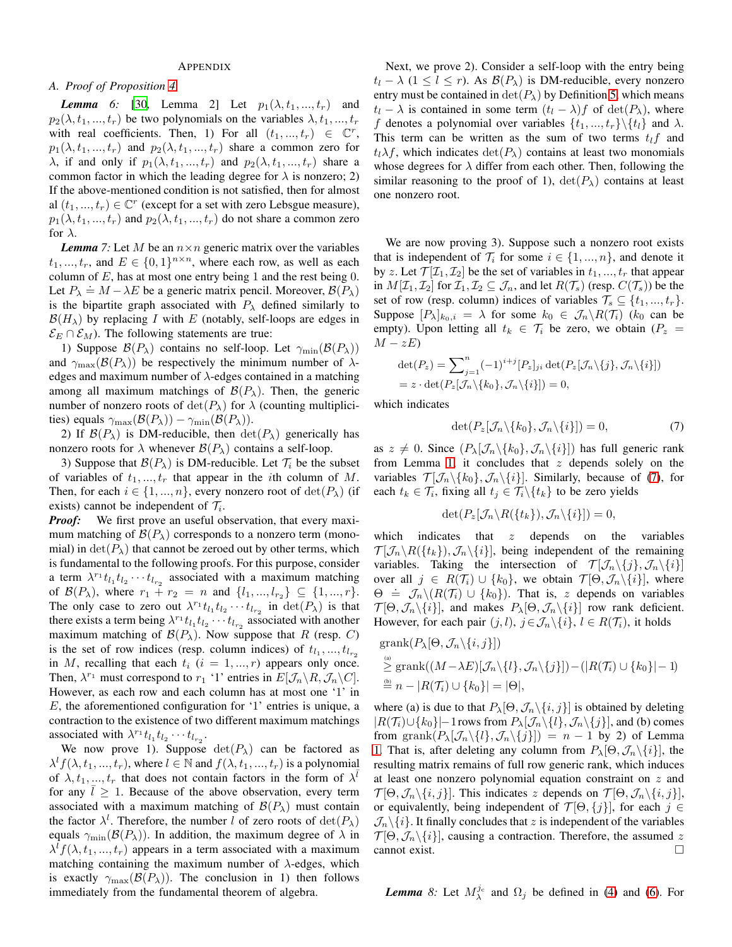## APPENDIX

# <span id="page-6-2"></span>*A. Proof of Proposition [4](#page-5-0)*

*Lemma* 6: [\[30,](#page-8-21) Lemma 2] Let  $p_1(\lambda, t_1, ..., t_r)$  and  $p_2(\lambda, t_1, ..., t_r)$  be two polynomials on the variables  $\lambda, t_1, ..., t_r$ with real coefficients. Then, 1) For all  $(t_1, ..., t_r) \in \mathbb{C}^r$ ,  $p_1(\lambda, t_1, ..., t_r)$  and  $p_2(\lambda, t_1, ..., t_r)$  share a common zero for  $\lambda$ , if and only if  $p_1(\lambda, t_1, ..., t_r)$  and  $p_2(\lambda, t_1, ..., t_r)$  share a common factor in which the leading degree for  $\lambda$  is nonzero; 2) If the above-mentioned condition is not satisfied, then for almost al  $(t_1, ..., t_r) \in \mathbb{C}^r$  (except for a set with zero Lebsgue measure),  $p_1(\lambda, t_1, ..., t_r)$  and  $p_2(\lambda, t_1, ..., t_r)$  do not share a common zero for  $\lambda$ .

<span id="page-6-0"></span>*Lemma* 7: Let M be an  $n \times n$  generic matrix over the variables  $t_1, ..., t_r$ , and  $E \in \{0, 1\}^{n \times n}$ , where each row, as well as each column of  $E$ , has at most one entry being 1 and the rest being 0. Let  $P_{\lambda} \doteq M - \lambda E$  be a generic matrix pencil. Moreover,  $\mathcal{B}(P_{\lambda})$ is the bipartite graph associated with  $P_{\lambda}$  defined similarly to  $\mathcal{B}(H_{\lambda})$  by replacing I with E (notably, self-loops are edges in  $\mathcal{E}_E \cap \mathcal{E}_M$ ). The following statements are true:

1) Suppose  $\mathcal{B}(P_\lambda)$  contains no self-loop. Let  $\gamma_{\min}(\mathcal{B}(P_\lambda))$ and  $\gamma_{\text{max}}(\mathcal{B}(P_{\lambda}))$  be respectively the minimum number of  $\lambda$ edges and maximum number of  $\lambda$ -edges contained in a matching among all maximum matchings of  $\mathcal{B}(P_\lambda)$ . Then, the generic number of nonzero roots of  $\det(P_\lambda)$  for  $\lambda$  (counting multiplicities) equals  $\gamma_{\text{max}}(\mathcal{B}(P_\lambda)) - \gamma_{\text{min}}(\mathcal{B}(P_\lambda)).$ 

2) If  $\mathcal{B}(P_\lambda)$  is DM-reducible, then  $\det(P_\lambda)$  generically has nonzero roots for  $\lambda$  whenever  $\mathcal{B}(P_\lambda)$  contains a self-loop.

3) Suppose that  $\mathcal{B}(P_\lambda)$  is DM-reducible. Let  $\mathcal{T}_i$  be the subset of variables of  $t_1, ..., t_r$  that appear in the *i*th column of M. Then, for each  $i \in \{1, ..., n\}$ , every nonzero root of  $\det(P_\lambda)$  (if exists) cannot be independent of  $\mathcal{T}_i$ .

*Proof:* We first prove an useful observation, that every maximum matching of  $\mathcal{B}(P_\lambda)$  corresponds to a nonzero term (monomial) in  $\det(P_\lambda)$  that cannot be zeroed out by other terms, which is fundamental to the following proofs. For this purpose, consider a term  $\lambda^{r_1} t_{l_1} t_{l_2} \cdots t_{l_{r_2}}$  associated with a maximum matching of  $\mathcal{B}(P_{\lambda})$ , where  $r_1 + r_2 = n$  and  $\{l_1, ..., l_{r_2}\} \subseteq \{1, ..., r\}.$ The only case to zero out  $\lambda^{r_1} t_{l_1} t_{l_2} \cdots t_{l_{r_2}}$  in  $\det(P_\lambda)$  is that there exists a term being  $\lambda^{r_1} t_{l_1} t_{l_2} \cdots t_{l_{r_2}}$  associated with another maximum matching of  $\mathcal{B}(P_\lambda)$ . Now suppose that R (resp. C) is the set of row indices (resp. column indices) of  $t_{l_1},...,t_{l_{r_2}}$ in M, recalling that each  $t_i$   $(i = 1, ..., r)$  appears only once. Then,  $\lambda^{r_1}$  must correspond to  $r_1$  '1' entries in  $E[\mathcal{J}_n \backslash R, \mathcal{J}_n \backslash C]$ . However, as each row and each column has at most one '1' in E, the aforementioned configuration for '1' entries is unique, a contraction to the existence of two different maximum matchings associated with  $\lambda^{r_1} t_{l_1} t_{l_2} \cdots t_{l_{r_2}}$ .

We now prove 1). Suppose  $\det(P_\lambda)$  can be factored as  $\lambda^l f(\lambda, t_1, ..., t_r)$ , where  $l \in \mathbb{N}$  and  $f(\lambda, t_1, ..., t_r)$  is a polynomial of  $\lambda, t_1, ..., t_r$  that does not contain factors in the form of  $\lambda^{\bar{l}}$ for any  $l \geq 1$ . Because of the above observation, every term associated with a maximum matching of  $\mathcal{B}(P_\lambda)$  must contain the factor  $\lambda^l$ . Therefore, the number l of zero roots of  $det(P_\lambda)$ equals  $\gamma_{\min}(\mathcal{B}(P_\lambda))$ . In addition, the maximum degree of  $\lambda$  in  $\lambda^{l} f(\lambda, t_1, ..., t_r)$  appears in a term associated with a maximum matching containing the maximum number of  $\lambda$ -edges, which is exactly  $\gamma_{\text{max}}(\mathcal{B}(P_{\lambda}))$ . The conclusion in 1) then follows immediately from the fundamental theorem of algebra.

Next, we prove 2). Consider a self-loop with the entry being  $t_l - \lambda$  (1 < l < r). As  $\mathcal{B}(P_\lambda)$  is DM-reducible, every nonzero entry must be contained in  $\det(P_\lambda)$  by Definition [5,](#page-3-3) which means  $t_l - \lambda$  is contained in some term  $(t_l - \lambda) f$  of  $\det(P_\lambda)$ , where f denotes a polynomial over variables  $\{t_1, ..., t_r\} \backslash \{t_l\}$  and  $\lambda$ . This term can be written as the sum of two terms  $t_l f$  and  $t_l \lambda f$ , which indicates  $\det(P_\lambda)$  contains at least two monomials whose degrees for  $\lambda$  differ from each other. Then, following the similar reasoning to the proof of 1),  $det(P_\lambda)$  contains at least one nonzero root.

We are now proving 3). Suppose such a nonzero root exists that is independent of  $\mathcal{T}_i$  for some  $i \in \{1, ..., n\}$ , and denote it by z. Let  $\mathcal{T}[\mathcal{I}_1, \mathcal{I}_2]$  be the set of variables in  $t_1, ..., t_r$  that appear in  $M[\mathcal{I}_1, \mathcal{I}_2]$  for  $\mathcal{I}_1, \mathcal{I}_2 \subseteq \mathcal{J}_n$ , and let  $R(\mathcal{T}_s)$  (resp.  $C(\mathcal{T}_s)$ ) be the set of row (resp. column) indices of variables  $\mathcal{T}_s \subseteq \{t_1, ..., t_r\}$ . Suppose  $[P_\lambda]_{k_0,i} = \lambda$  for some  $k_0 \in \mathcal{J}_n \backslash R(\mathcal{T}_i)$  ( $k_0$  can be empty). Upon letting all  $t_k \in \mathcal{T}_i$  be zero, we obtain  $(P_z =$  $M - zE$ 

$$
\det(P_z) = \sum_{j=1}^n (-1)^{i+j} [P_z]_{ji} \det(P_z[\mathcal{J}_n \setminus \{j\}, \mathcal{J}_n \setminus \{i\}])
$$
  
=  $z \cdot \det(P_z[\mathcal{J}_n \setminus \{k_0\}, \mathcal{J}_n \setminus \{i\}]) = 0,$ 

which indicates

<span id="page-6-1"></span>
$$
\det(P_z[\mathcal{J}_n \setminus \{k_0\}, \mathcal{J}_n \setminus \{i\}]) = 0,\tag{7}
$$

as  $z \neq 0$ . Since  $(P_{\lambda}[\mathcal{J}_n\setminus\{k_0\},\mathcal{J}_n\setminus\{i\}])$  has full generic rank from Lemma [1,](#page-3-4) it concludes that  $z$  depends solely on the variables  $\mathcal{T}[\mathcal{J}_n\backslash\{k_0\},\mathcal{J}_n\backslash\{i\}]$ . Similarly, because of [\(7\)](#page-6-1), for each  $t_k \in \mathcal{T}_i$ , fixing all  $t_j \in \mathcal{T}_i \backslash \{t_k\}$  to be zero yields

$$
\det(P_z[\mathcal{J}_n \backslash R(\lbrace t_k \rbrace), \mathcal{J}_n \backslash \lbrace i \rbrace]) = 0,
$$

which indicates that  $z$  depends on the variables  $\mathcal{T}[\mathcal{J}_n\setminus R(\lbrace t_k\rbrace),\mathcal{J}_n\setminus\lbrace i\rbrace]$ , being independent of the remaining variables. Taking the intersection of  $\mathcal{T}[\mathcal{J}_n\setminus\{j\},\mathcal{J}_n\setminus\{i\}]$ over all  $j \in R(\mathcal{T}_i) \cup \{k_0\}$ , we obtain  $\mathcal{T}[\Theta, \mathcal{J}_n \setminus \{i\}]$ , where  $\Theta = \mathcal{J}_n \setminus (R(\mathcal{T}_i) \cup \{k_0\})$ . That is, z depends on variables  $\mathcal{T}[\Theta,\mathcal{J}_n\setminus\{i\}],$  and makes  $P_\lambda[\Theta,\mathcal{J}_n\setminus\{i\}]$  row rank deficient. However, for each pair  $(j, l)$ ,  $j \in \mathcal{J}_n \setminus \{i\}$ ,  $l \in R(\mathcal{T}_i)$ , it holds

$$
\begin{aligned} &\text{grank}(P_{\lambda}[\Theta, \mathcal{J}_n \setminus \{i, j\}]) \\ &\stackrel{\text{(a)}}{\geq} \text{grank}((M - \lambda E)[\mathcal{J}_n \setminus \{l\}, \mathcal{J}_n \setminus \{j\}]) - (|R(\mathcal{T}_i) \cup \{k_0\}| - 1) \\ &\stackrel{\text{(b)}}{=} n - |R(\mathcal{T}_i) \cup \{k_0\}| = |\Theta|, \end{aligned}
$$

where (a) is due to that  $P_{\lambda}[\Theta, \mathcal{J}_n \setminus \{i, j\}]$  is obtained by deleting  $|R(\mathcal{T}_i) \cup \{k_0\}|-1$  rows from  $P_{\lambda}[\mathcal{J}_n \setminus \{l\}, \mathcal{J}_n \setminus \{j\}]$ , and (b) comes from grank $(P_{\lambda}[\mathcal{J}_n\setminus\{l\},\mathcal{J}_n\setminus\{j\}]) = n - 1$  by 2) of Lemma [1.](#page-3-4) That is, after deleting any column from  $P_{\lambda}[\Theta, \mathcal{J}_n\backslash\{i\}]$ , the resulting matrix remains of full row generic rank, which induces at least one nonzero polynomial equation constraint on z and  $\mathcal{T}[\Theta,\mathcal{J}_n\setminus\{i,j\}]$ . This indicates z depends on  $\mathcal{T}[\Theta,\mathcal{J}_n\setminus\{i,j\}]$ , or equivalently, being independent of  $\mathcal{T}[\Theta, \{j\}]$ , for each  $j \in$  $\mathcal{J}_n \setminus \{i\}$ . It finally concludes that z is independent of the variables  $\mathcal{T}[\Theta,\mathcal{J}_n\backslash\{i\}]$ , causing a contraction. Therefore, the assumed z cannot exist.

<span id="page-6-3"></span>*Lemma* 8: Let  $M_{\lambda}^{j_c}$  and  $\Omega_j$  be defined in [\(4\)](#page-4-3) and [\(6\)](#page-4-4). For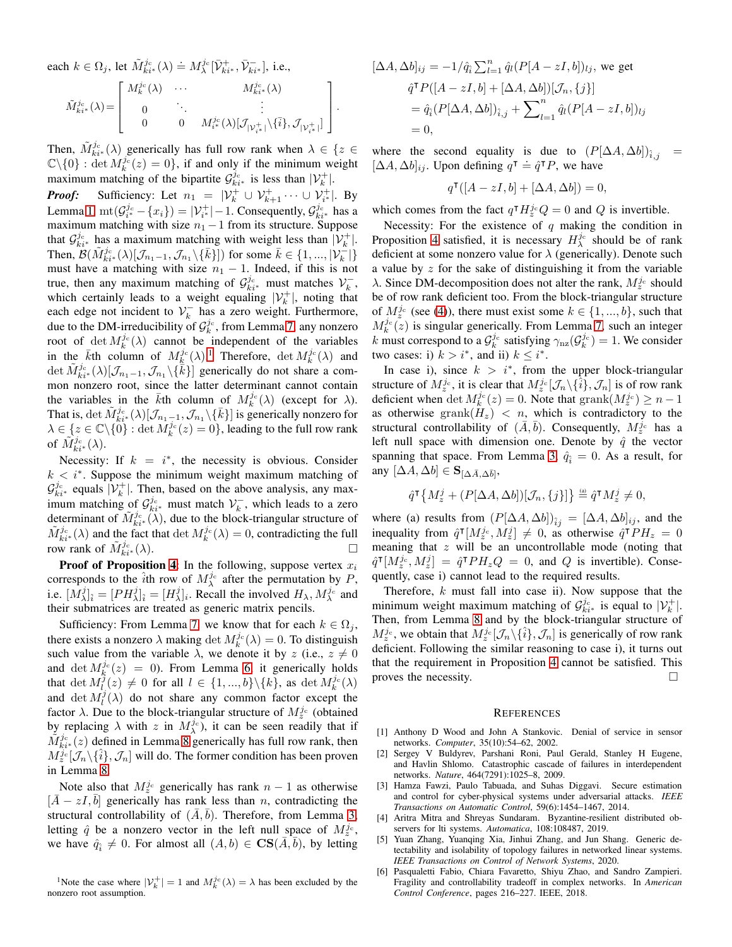each  $k \in \Omega_j$ , let  $\tilde{M}^{j_c}_{ki^*}(\lambda) \doteq M^{j_c}_{\lambda}[\bar{\mathcal{V}}^+_{ki^*}, \bar{\mathcal{V}}^-_{ki^*}],$  i.e.,  $\tilde{M}^{j_{\rm c}}_{ki^{*}}(\lambda)$  =  $\sqrt{ }$  $\Big\}$  $M_{k}^{j_{\mathrm{c}}}(\lambda) \quad \cdots \qquad \qquad M_{k i^{*}}^{j_{\mathrm{c}}}(\lambda)$  $\begin{array}{ccc} 0 & \cdots & \cdots & \cdots \end{array}$  $0 \qquad \quad 0 \qquad M^{j_{\rm c}}_{i^\ast}(\lambda)[\mathcal{J}_{|\mathcal{V}_{i^\ast}^+|}\backslash\{\bar{i}\},\mathcal{J}_{|\mathcal{V}_{i^\ast}^+|}]$ 1  $\overline{\phantom{a}}$ 

.

Then,  $\tilde{M}_{ki^*}^{j_c}(\lambda)$  generically has full row rank when  $\lambda \in \{z \in$  $\mathbb{C}\backslash\{0\}$ : det  $M_k^{j_c}(z) = 0$ , if and only if the minimum weight maximum matching of the bipartite  $\mathcal{G}_{ki^*}^{j_c}$  is less than  $|\mathcal{V}_k^+|$ .

*Proof:* Sufficiency: Let  $n_1 = |\mathcal{V}_k^+ \cup \mathcal{V}_{k+1}^+ \cdots \cup \mathcal{V}_{i^*}^+|$ . By Lemma [1,](#page-3-4)  $\text{mt}(\mathcal{G}_{i^*}^{j_c} - \{x_i\}) = |\mathcal{V}_{i^*}^+| - 1$ . Consequently,  $\mathcal{G}_{ki^*}^{j_c}$  has a maximum matching with size  $n_1 - 1$  from its structure. Suppose that  $\mathcal{G}_{ki^*}^{j_c}$  has a maximum matching with weight less than  $|\mathcal{V}_k^+|$ . Then,  $\mathcal{B}(\tilde{M}_{ki^*}^{j_c}(\lambda)[\mathcal{J}_{n_1-1},\mathcal{J}_{n_1}\setminus\{\bar{k}\}])$  for some  $\bar{k} \in \{1,...,|\mathcal{V}_k^{-}|\}$ must have a matching with size  $n_1 - 1$ . Indeed, if this is not true, then any maximum matching of  $\mathcal{G}_{ki^*}^{j_c}$  must matches  $\mathcal{V}_k^-$ , which certainly leads to a weight equaling  $|\mathcal{V}_k^+|$ , noting that each edge not incident to  $\mathcal{V}_k^-$  has a zero weight. Furthermore, due to the DM-irreducibility of  $\mathcal{G}_k^{j_c}$ , from Lemma [7,](#page-6-0) any nonzero root of  $\det M_k^{j_c}(\lambda)$  cannot be independent of the variables in the  $\bar{k}$ th column of  $M_k^{j_c}(\lambda)$ .<sup>[1](#page-7-6)</sup> Therefore,  $\det M_k^{j_c}(\lambda)$  and det  $\tilde{M}_{ki^*}^{j_c}(\lambda)[\mathcal{J}_{n_1-1},\mathcal{J}_{n_1}\backslash\{\tilde{k}\}]$  generically do not share a common nonzero root, since the latter determinant cannot contain the variables in the  $\bar{k}$ th column of  $M_k^{j_c}(\lambda)$  (except for  $\lambda$ ). That is,  $\det \tilde{M}_{ki^*}^{j_{\rm c}}(\lambda)[\mathcal{J}_{n_1-1},\mathcal{J}_{n_1}\backslash \{\bar{k}\}]$  is generically nonzero for  $\lambda \in \{z \in \mathbb{C} \setminus \{0\} : \det M_k^{j_c}(z) = 0\}$ , leading to the full row rank of  $\tilde{M}^{j_{\mathrm{c}}}_{ki^*}(\lambda)$ .

Necessity: If  $k = i^*$ , the necessity is obvious. Consider  $k < i^*$ . Suppose the minimum weight maximum matching of  $\mathcal{G}_{k i^*}^{j_c}$  equals  $|\mathcal{V}_k^+|$ . Then, based on the above analysis, any maximum matching of  $\mathcal{G}_{ki^*}^{j_c}$  must match  $\mathcal{V}_k^-$ , which leads to a zero determinant of  $\tilde{M}^{j_c}_{ki^*}(\lambda)$ , due to the block-triangular structure of  $\tilde{M}^{j_c}_{ki^*}(\lambda)$  and the fact that  $\det M^{j_c}_k(\lambda) = 0$ , contradicting the full row rank of  $\tilde{M}^{j_c}_{ki^*}(\lambda)$ .

**Proof of Proposition [4](#page-5-0):** In the following, suppose vertex  $x_i$ corresponds to the  $\hat{i}$ th row of  $M_\lambda^{j_c}$  after the permutation by P, i.e.  $[M_\lambda^j]_i = [PH_\lambda^j]_i = [H_\lambda^j]_i$ . Recall the involved  $H_\lambda, M_\lambda^{j_c}$  and their submatrices are treated as generic matrix pencils.

Sufficiency: From Lemma [7,](#page-6-0) we know that for each  $k \in \Omega_j$ , there exists a nonzero  $\lambda$  making det  $M_k^{j_c}(\lambda) = 0$ . To distinguish such value from the variable  $\lambda$ , we denote it by z (i.e.,  $z \neq 0$ and det  $M_k^{j_c}(z) = 0$ ). From Lemma [6,](#page-6-2) it generically holds that  $\det M_l^{\hat{j}}(z) \neq 0$  for all  $l \in \{1, ..., b\} \setminus \{k\}$ , as  $\det M_k^{j_c}(\lambda)$ and det  $M_l^j(\lambda)$  do not share any common factor except the factor  $\lambda$ . Due to the block-triangular structure of  $M_z^j$  (obtained by replacing  $\lambda$  with z in  $M_{\lambda}^{j_c}$ , it can be seen readily that if  $\tilde{M}^{j_c}_{ki*}(z)$  defined in Lemma [8](#page-6-3) generically has full row rank, then  $M_z^{j_c}[\mathcal{J}_n\backslash\{\hat{i}\},\mathcal{J}_n]$  will do. The former condition has been proven in Lemma [8.](#page-6-3)

Note also that  $M_z^{j_c}$  generically has rank  $n-1$  as otherwise  $[\bar{A} - zI, \bar{b}]$  generically has rank less than n, contradicting the structural controllability of  $(\overline{A}, \overline{b})$ . Therefore, from Lemma [3,](#page-4-1) letting  $\hat{q}$  be a nonzero vector in the left null space of  $M_z^{j_c}$ , we have  $\hat{q}_{\hat{i}} \neq 0$ . For almost all  $(A, b) \in \mathbf{CS}(\overline{A}, \overline{b})$ , by letting

<span id="page-7-6"></span><sup>1</sup>Note the case where  $|\mathcal{V}_k^+| = 1$  and  $M_k^{j_c}(\lambda) = \lambda$  has been excluded by the nonzero root assumption.

$$
[\Delta A, \Delta b]_{ij} = -1/\hat{q}_i \sum_{l=1}^n \hat{q}_l (P[A - zI, b])_{lj}, \text{ we get}
$$
  

$$
\hat{q}^\mathsf{T} P([A - zI, b] + [\Delta A, \Delta b]) [\mathcal{J}_n, \{j\}]
$$
  

$$
= \hat{q}_i (P[\Delta A, \Delta b])_{\hat{i}, j} + \sum_{l=1}^n \hat{q}_l (P[A - zI, b])_{lj}
$$
  

$$
= 0,
$$

where the second equality is due to  $(P[\Delta A, \Delta b])_{\hat{i},j}$  =  $[\Delta A, \Delta b]_{ij}$ . Upon defining  $q^{\dagger} = \hat{q}^{\dagger} P$ , we have

$$
q^{\mathsf{T}}([A-zI,b]+[\Delta A,\Delta b])=0,
$$

which comes from the fact  $q^{\dagger} H_z^{j_c} Q = 0$  and Q is invertible.

Necessity: For the existence of  $q$  making the condition in Proposition [4](#page-5-0) satisfied, it is necessary  $H_{\lambda}^{j_c}$  should be of rank deficient at some nonzero value for  $\lambda$  (generically). Denote such a value by  $z$  for the sake of distinguishing it from the variable  $\lambda$ . Since DM-decomposition does not alter the rank,  $M_z^j$  should be of row rank deficient too. From the block-triangular structure of  $M_z^{j_c}$  (see [\(4\)](#page-4-3)), there must exist some  $k \in \{1, ..., b\}$ , such that  $M_k^{j_c}(\tilde{z})$  is singular generically. From Lemma [7,](#page-6-0) such an integer k must correspond to a  $\mathcal{G}_k^{j_c}$  satisfying  $\gamma_{\text{nz}}(\mathcal{G}_k^{j_c}) = 1$ . We consider two cases: i)  $k > i^*$ , and ii)  $k \leq i^*$ .

In case i), since  $k > i^*$ , from the upper block-triangular structure of  $M_z^{j_c}$ , it is clear that  $M_z^{j_c}[\mathcal{J}_n\backslash{\{\hat{i}\}},\mathcal{J}_n]$  is of row rank deficient when det  $M_k^{j_c}(z) = 0$ . Note that  $\text{grank}(M_z^{j_c}) \geq n-1$ as otherwise grank $(H_z) < n$ , which is contradictory to the structural controllability of  $(\bar{A}, \bar{b})$ . Consequently,  $M_{z}^{j_c}$  has a left null space with dimension one. Denote by  $\hat{q}$  the vector spanning that space. From Lemma [3,](#page-4-1)  $\hat{q}_{\hat{i}} = 0$ . As a result, for any  $[\Delta \overline{A}, \Delta b] \in \mathbf{S}_{[\Delta \overline{A}, \Delta \overline{b}]},$ 

$$
\hat{q}^{\mathsf{T}}\left\{M_z^j + (P[\Delta A, \Delta b])[\mathcal{J}_n, \{j\}]\right\} \stackrel{\text{\tiny (a)}}{=} \hat{q}^{\mathsf{T}} M_z^j \neq 0,
$$

where (a) results from  $(P[\Delta A, \Delta b])_{\hat{i}i} = [\Delta A, \Delta b]_{ij}$ , and the inequality from  $\hat{q}^{\text{T}}[M_z^{j_c}, M_z^{j}] \neq 0$ , as otherwise  $\hat{q}^{\text{T}}PH_z = 0$ meaning that  $z$  will be an uncontrollable mode (noting that  $\hat{q}^{\text{T}}[M_z^j, M_z^j] = \hat{q}^{\text{T}}PH_zQ = 0$ , and Q is invertible). Consequently, case i) cannot lead to the required results.

Therefore,  $k$  must fall into case ii). Now suppose that the minimum weight maximum matching of  $\mathcal{G}_{ki^*}^{j_c}$  is equal to  $|\mathcal{V}_k^+|$ . Then, from Lemma [8](#page-6-3) and by the block-triangular structure of  $M_z^{j_c}$ , we obtain that  $M_z^{j_c}[\mathcal{J}_n\backslash\{\hat{i}\},\mathcal{J}_n]$  is generically of row rank deficient. Following the similar reasoning to case i), it turns out that the requirement in Proposition [4](#page-5-0) cannot be satisfied. This proves the necessity.  $\Box$ 

#### **REFERENCES**

- <span id="page-7-0"></span>[1] Anthony D Wood and John A Stankovic. Denial of service in sensor networks. *Computer*, 35(10):54–62, 2002.
- <span id="page-7-2"></span>[2] Sergey V Buldyrev, Parshani Roni, Paul Gerald, Stanley H Eugene, and Havlin Shlomo. Catastrophic cascade of failures in interdependent networks. *Nature*, 464(7291):1025–8, 2009.
- <span id="page-7-4"></span>[3] Hamza Fawzi, Paulo Tabuada, and Suhas Diggavi. Secure estimation and control for cyber-physical systems under adversarial attacks. *IEEE Transactions on Automatic Control*, 59(6):1454–1467, 2014.
- <span id="page-7-1"></span>[4] Aritra Mitra and Shreyas Sundaram. Byzantine-resilient distributed observers for lti systems. *Automatica*, 108:108487, 2019.
- <span id="page-7-3"></span>[5] Yuan Zhang, Yuanqing Xia, Jinhui Zhang, and Jun Shang. Generic detectability and isolability of topology failures in networked linear systems. *IEEE Transactions on Control of Network Systems*, 2020.
- <span id="page-7-5"></span>[6] Pasqualetti Fabio, Chiara Favaretto, Shiyu Zhao, and Sandro Zampieri. Fragility and controllability tradeoff in complex networks. In *American Control Conference*, pages 216–227. IEEE, 2018.